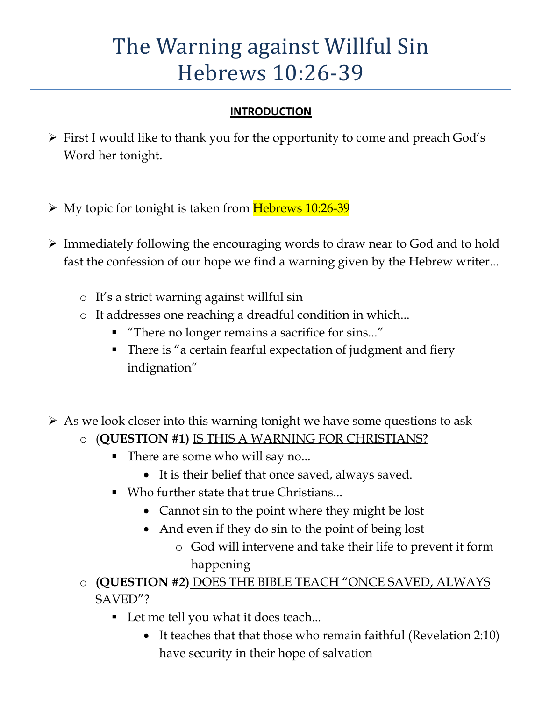# The Warning against Willful Sin Hebrews 10:26-39

#### **INTRODUCTION**

- $\triangleright$  First I would like to thank you for the opportunity to come and preach God's Word her tonight.
- $\triangleright$  My topic for tonight is taken from Hebrews 10:26-39
- Immediately following the encouraging words to draw near to God and to hold fast the confession of our hope we find a warning given by the Hebrew writer...
	- o It's a strict warning against willful sin
	- o It addresses one reaching a dreadful condition in which...
		- "There no longer remains a sacrifice for sins..."
		- There is "a certain fearful expectation of judgment and fiery indignation"
- $\triangleright$  As we look closer into this warning tonight we have some questions to ask
	- o (**QUESTION #1)** IS THIS A WARNING FOR CHRISTIANS?
		- - There are some who will say no...
			- It is their belief that once saved, always saved.
		- Who further state that true Christians...
			- Cannot sin to the point where they might be lost
			- And even if they do sin to the point of being lost
				- o God will intervene and take their life to prevent it form happening
	- o **(QUESTION #2)** DOES THE BIBLE TEACH "ONCE SAVED, ALWAYS SAVED"?
		- Let me tell you what it does teach...
			- It teaches that that those who remain faithful (Revelation 2:10) have security in their hope of salvation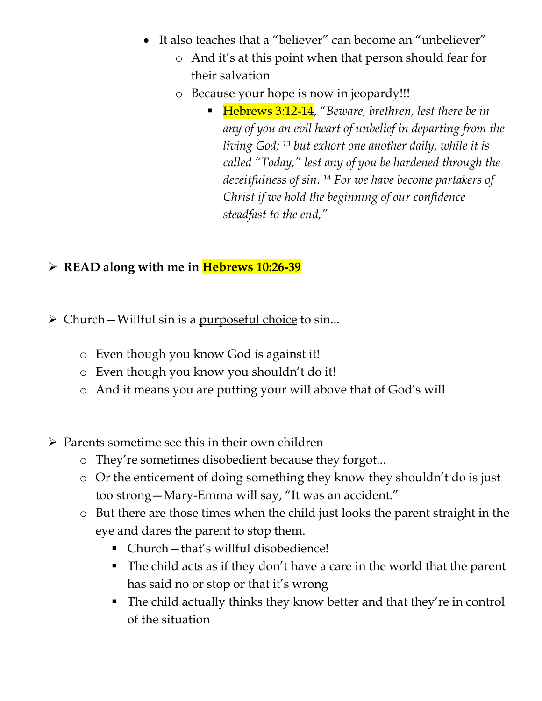- It also teaches that a "believer" can become an "unbeliever"
	- o And it's at this point when that person should fear for their salvation
	- o Because your hope is now in jeopardy!!!
		- Hebrews 3:12-14, "Beware, brethren, lest there be in *any of you an evil heart of unbelief in departing from the living God; 13 but exhort one another daily, while it is called "Today," lest any of you be hardened through the deceitfulness of sin. 14 For we have become partakers of Christ if we hold the beginning of our confidence steadfast to the end,"*

#### **READ along with me in Hebrews 10:26-39**

- $\triangleright$  Church Willful sin is a purposeful choice to sin...
	- o Even though you know God is against it!
	- o Even though you know you shouldn't do it!
	- o And it means you are putting your will above that of God's will
- $\triangleright$  Parents sometime see this in their own children
	- o They're sometimes disobedient because they forgot...
	- o Or the enticement of doing something they know they shouldn't do is just too strong—Mary-Emma will say, "It was an accident."
	- o But there are those times when the child just looks the parent straight in the eye and dares the parent to stop them.
		- Church—that's willful disobedience!
		- The child acts as if they don't have a care in the world that the parent has said no or stop or that it's wrong
		- The child actually thinks they know better and that they're in control of the situation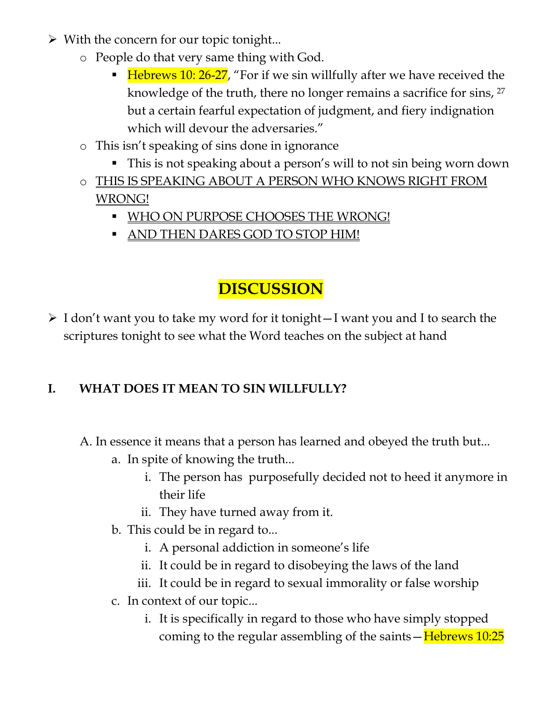- $\triangleright$  With the concern for our topic tonight...
	- o People do that very same thing with God.
		- **Hebrews 10: 26-27**, "For if we sin willfully after we have received the knowledge of the truth, there no longer remains a sacrifice for sins, <sup>27</sup> but a certain fearful expectation of judgment, and fiery indignation which will devour the adversaries."
	- o This isn't speaking of sins done in ignorance
		- This is not speaking about a person's will to not sin being worn down
	- o THIS IS SPEAKING ABOUT A PERSON WHO KNOWS RIGHT FROM WRONG!
		- **WHO ON PURPOSE CHOOSES THE WRONG!**
		- **AND THEN DARES GOD TO STOP HIM!**

# **DISCUSSION**

 $\triangleright$  I don't want you to take my word for it tonight - I want you and I to search the scriptures tonight to see what the Word teaches on the subject at hand

# **I. WHAT DOES IT MEAN TO SIN WILLFULLY?**

A. In essence it means that a person has learned and obeyed the truth but...

- a. In spite of knowing the truth...
	- i. The person has purposefully decided not to heed it anymore in their life
	- ii. They have turned away from it.
- b. This could be in regard to...
	- i. A personal addiction in someone's life
	- ii. It could be in regard to disobeying the laws of the land
	- iii. It could be in regard to sexual immorality or false worship
- c. In context of our topic...
	- i. It is specifically in regard to those who have simply stopped coming to the regular assembling of the saints  $-\frac{Hebrew}{10:25}$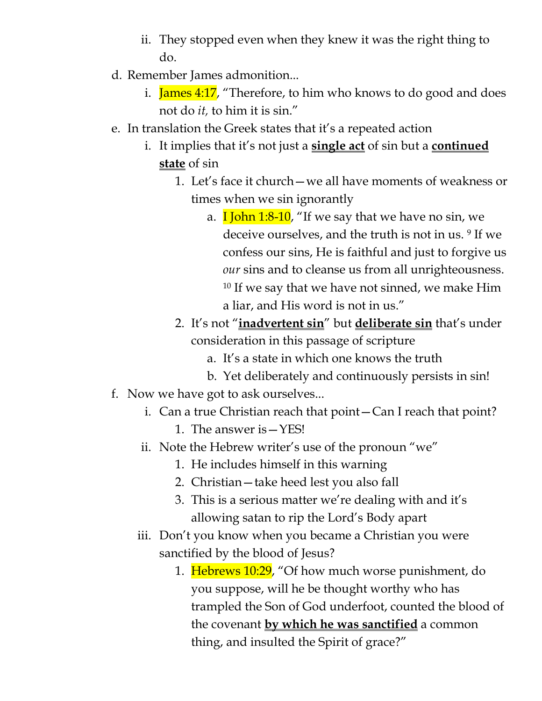- ii. They stopped even when they knew it was the right thing to do.
- d. Remember James admonition...
	- i. **James 4:17**, "Therefore, to him who knows to do good and does not do *it,* to him it is sin."
- e. In translation the Greek states that it's a repeated action
	- i. It implies that it's not just a **single act** of sin but a **continued state** of sin
		- 1. Let's face it church—we all have moments of weakness or times when we sin ignorantly
			- a. **I** John 1:8-10, "If we say that we have no sin, we deceive ourselves, and the truth is not in us. <sup>9</sup> If we confess our sins, He is faithful and just to forgive us *our* sins and to cleanse us from all unrighteousness. <sup>10</sup> If we say that we have not sinned, we make Him a liar, and His word is not in us."
		- 2. It's not "**inadvertent sin**" but **deliberate sin** that's under consideration in this passage of scripture
			- a. It's a state in which one knows the truth
			- b. Yet deliberately and continuously persists in sin!
- f. Now we have got to ask ourselves...
	- i. Can a true Christian reach that point—Can I reach that point?
		- 1. The answer is—YES!
	- ii. Note the Hebrew writer's use of the pronoun "we"
		- 1. He includes himself in this warning
		- 2. Christian—take heed lest you also fall
		- 3. This is a serious matter we're dealing with and it's allowing satan to rip the Lord's Body apart
	- iii. Don't you know when you became a Christian you were sanctified by the blood of Jesus?
		- 1. Hebrews 10:29, "Of how much worse punishment, do you suppose, will he be thought worthy who has trampled the Son of God underfoot, counted the blood of the covenant **by which he was sanctified** a common thing, and insulted the Spirit of grace?"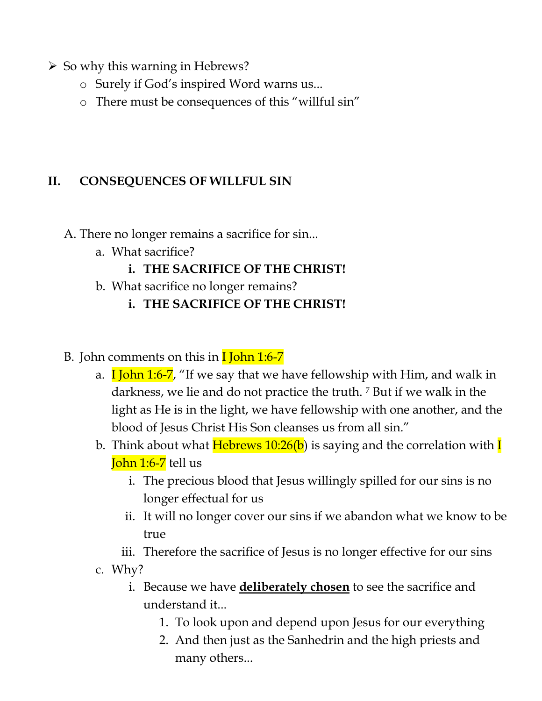- $\triangleright$  So why this warning in Hebrews?
	- o Surely if God's inspired Word warns us...
	- o There must be consequences of this "willful sin"

#### **II. CONSEQUENCES OF WILLFUL SIN**

- A. There no longer remains a sacrifice for sin...
	- a. What sacrifice?
		- **i. THE SACRIFICE OF THE CHRIST!**
	- b. What sacrifice no longer remains?
		- **i. THE SACRIFICE OF THE CHRIST!**

#### B. John comments on this in  $\frac{1}{\text{John 1:6-7}}$

- a.  $\overline{I}$  John 1:6-7, "If we say that we have fellowship with Him, and walk in darkness, we lie and do not practice the truth. <sup>7</sup> But if we walk in the light as He is in the light, we have fellowship with one another, and the blood of Jesus Christ His Son cleanses us from all sin."
- b. Think about what **Hebrews 10:26(b)** is saying and the correlation with **I** John 1:6-7 tell us
	- i. The precious blood that Jesus willingly spilled for our sins is no longer effectual for us
	- ii. It will no longer cover our sins if we abandon what we know to be true
	- iii. Therefore the sacrifice of Jesus is no longer effective for our sins
- c. Why?
	- i. Because we have **deliberately chosen** to see the sacrifice and understand it...
		- 1. To look upon and depend upon Jesus for our everything
		- 2. And then just as the Sanhedrin and the high priests and many others...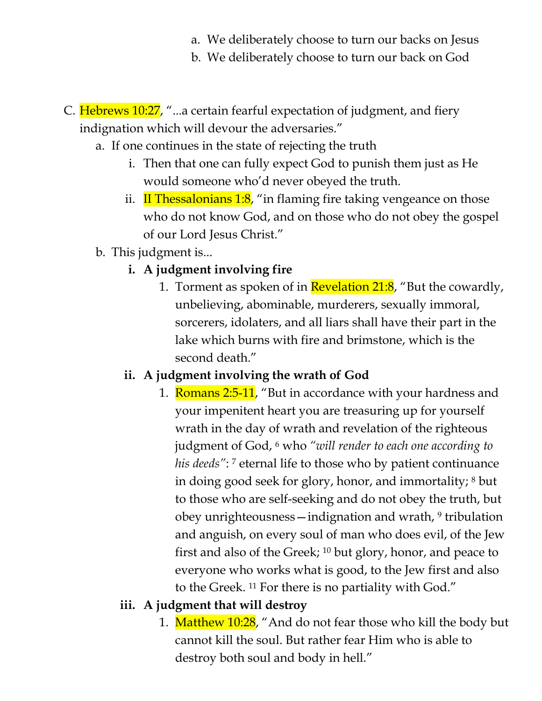- a. We deliberately choose to turn our backs on Jesus
- b. We deliberately choose to turn our back on God
- C. Hebrews 10:27, "...a certain fearful expectation of judgment, and fiery indignation which will devour the adversaries."
	- a. If one continues in the state of rejecting the truth
		- i. Then that one can fully expect God to punish them just as He would someone who'd never obeyed the truth.
		- ii. If Thessalonians  $1:8$ , "in flaming fire taking vengeance on those who do not know God, and on those who do not obey the gospel of our Lord Jesus Christ."
	- b. This judgment is...
		- **i. A judgment involving fire** 
			- 1. Torment as spoken of in **Revelation 21:8**, "But the cowardly, unbelieving, abominable, murderers, sexually immoral, sorcerers, idolaters, and all liars shall have their part in the lake which burns with fire and brimstone, which is the second death."

# **ii. A judgment involving the wrath of God**

1. Romans 2:5-11, "But in accordance with your hardness and your impenitent heart you are treasuring up for yourself wrath in the day of wrath and revelation of the righteous judgment of God, <sup>6</sup> who *"will render to each one according to*  his deeds": <sup>7</sup> eternal life to those who by patient continuance in doing good seek for glory, honor, and immortality; <sup>8</sup> but to those who are self-seeking and do not obey the truth, but obey unrighteousness—indignation and wrath, <sup>9</sup> tribulation and anguish, on every soul of man who does evil, of the Jew first and also of the Greek; 10 but glory, honor, and peace to everyone who works what is good, to the Jew first and also to the Greek. 11 For there is no partiality with God."

# **iii. A judgment that will destroy**

1. Matthew 10:28, "And do not fear those who kill the body but cannot kill the soul. But rather fear Him who is able to destroy both soul and body in hell."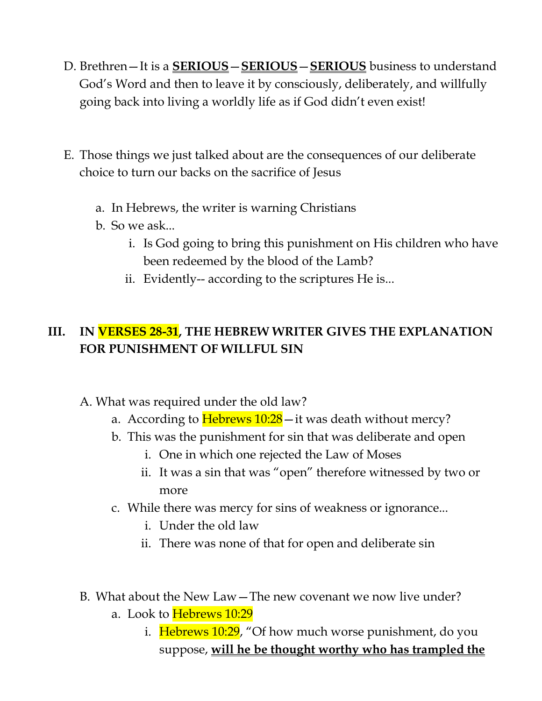- D. Brethren—It is a **SERIOUS**—**SERIOUS**—**SERIOUS** business to understand God's Word and then to leave it by consciously, deliberately, and willfully going back into living a worldly life as if God didn't even exist!
- E. Those things we just talked about are the consequences of our deliberate choice to turn our backs on the sacrifice of Jesus
	- a. In Hebrews, the writer is warning Christians
	- b. So we ask...
		- i. Is God going to bring this punishment on His children who have been redeemed by the blood of the Lamb?
		- ii. Evidently-- according to the scriptures He is...

### **III. IN VERSES 28-31, THE HEBREW WRITER GIVES THE EXPLANATION FOR PUNISHMENT OF WILLFUL SIN**

- A. What was required under the old law?
	- a. According to  $Hebrews 10:28$  it was death without mercy?
	- b. This was the punishment for sin that was deliberate and open
		- i. One in which one rejected the Law of Moses
		- ii. It was a sin that was "open" therefore witnessed by two or more
	- c. While there was mercy for sins of weakness or ignorance...
		- i. Under the old law
		- ii. There was none of that for open and deliberate sin
- B. What about the New Law—The new covenant we now live under?
	- a. Look to Hebrews 10:29
		- i. Hebrews 10:29, "Of how much worse punishment, do you suppose, **will he be thought worthy who has trampled the**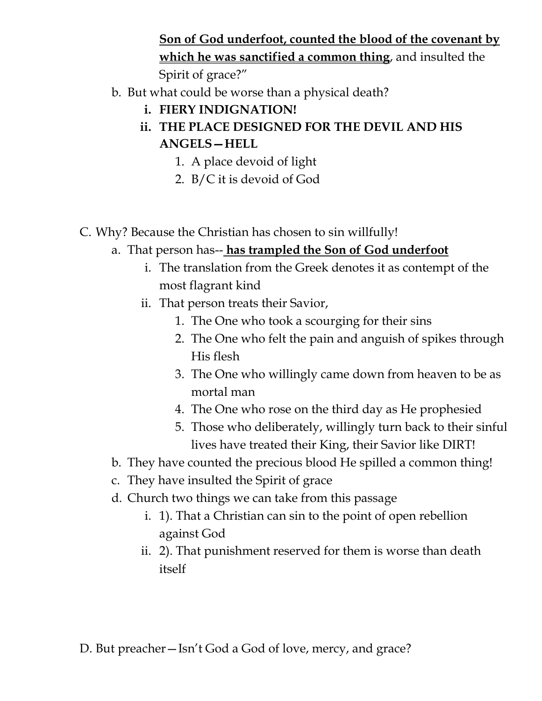**Son of God underfoot, counted the blood of the covenant by which he was sanctified a common thing**, and insulted the Spirit of grace?"

- b. But what could be worse than a physical death?
	- **i. FIERY INDIGNATION!**
	- **ii. THE PLACE DESIGNED FOR THE DEVIL AND HIS ANGELS—HELL** 
		- 1. A place devoid of light
		- 2. B/C it is devoid of God
- C. Why? Because the Christian has chosen to sin willfully!
	- a. That person has-- **has trampled the Son of God underfoot**
		- i. The translation from the Greek denotes it as contempt of the most flagrant kind
		- ii. That person treats their Savior,
			- 1. The One who took a scourging for their sins
			- 2. The One who felt the pain and anguish of spikes through His flesh
			- 3. The One who willingly came down from heaven to be as mortal man
			- 4. The One who rose on the third day as He prophesied
			- 5. Those who deliberately, willingly turn back to their sinful lives have treated their King, their Savior like DIRT!
	- b. They have counted the precious blood He spilled a common thing!
	- c. They have insulted the Spirit of grace
	- d. Church two things we can take from this passage
		- i. 1). That a Christian can sin to the point of open rebellion against God
		- ii. 2). That punishment reserved for them is worse than death itself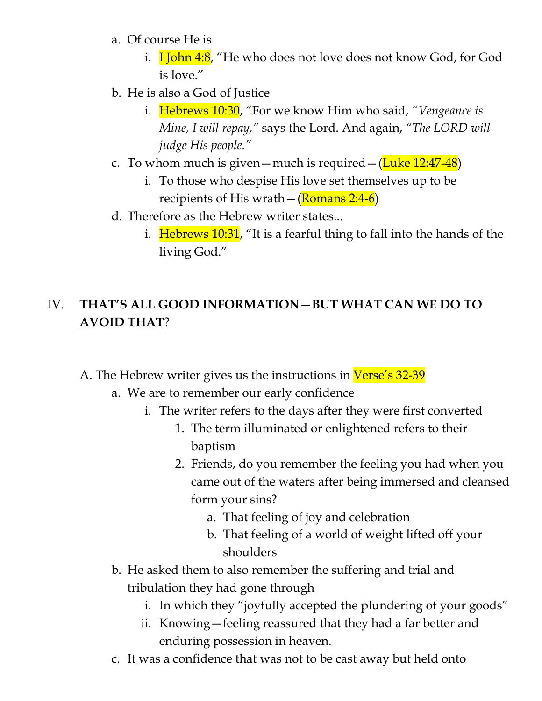- a. Of course He is
	- i. **I John 4:8**, "He who does not love does not know God, for God is love."
- b. He is also a God of Justice
	- i. Hebrews 10:30, "For we know Him who said, *"Vengeance is Mine, I will repay,"* says the Lord. And again, *"The LORD will judge His people."*
- c. To whom much is given—much is required—( $\frac{\text{Luke } 12:47-48}{\text{Luke } 12:47-48}$ )
	- i. To those who despise His love set themselves up to be recipients of His wrath  $-$  (Romans 2:4-6)
- d. Therefore as the Hebrew writer states...
	- i. Hebrews 10:31, "It is a fearful thing to fall into the hands of the living God."

# IV. **THAT'S ALL GOOD INFORMATION—BUT WHAT CAN WE DO TO AVOID THAT**?

A. The Hebrew writer gives us the instructions in Verse's 32-39

- a. We are to remember our early confidence
	- i. The writer refers to the days after they were first converted
		- 1. The term illuminated or enlightened refers to their baptism
		- 2. Friends, do you remember the feeling you had when you came out of the waters after being immersed and cleansed form your sins?
			- a. That feeling of joy and celebration
			- b. That feeling of a world of weight lifted off your shoulders
- b. He asked them to also remember the suffering and trial and tribulation they had gone through
	- i. In which they "joyfully accepted the plundering of your goods"
	- ii. Knowing—feeling reassured that they had a far better and enduring possession in heaven.
- c. It was a confidence that was not to be cast away but held onto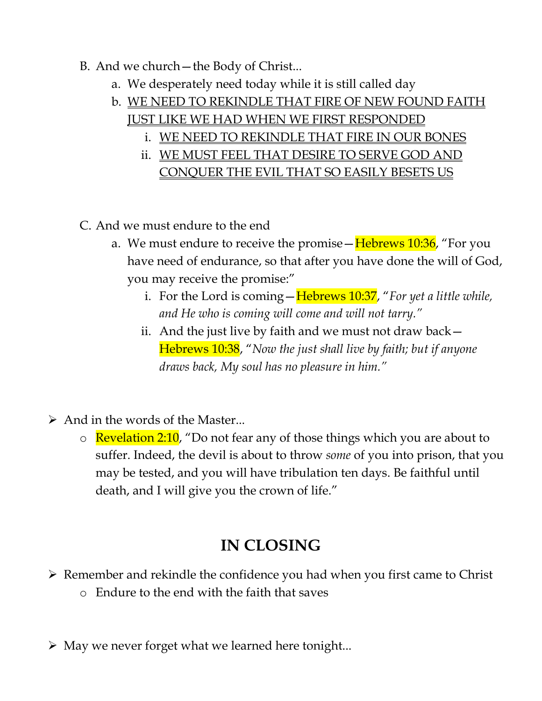#### B. And we church—the Body of Christ...

- a. We desperately need today while it is still called day
- b. WE NEED TO REKINDLE THAT FIRE OF NEW FOUND FAITH
	- JUST LIKE WE HAD WHEN WE FIRST RESPONDED
		- i. WE NEED TO REKINDLE THAT FIRE IN OUR BONES
		- ii. WE MUST FEEL THAT DESIRE TO SERVE GOD AND CONQUER THE EVIL THAT SO EASILY BESETS US
- C. And we must endure to the end
	- a. We must endure to receive the promise Hebrews 10:36, "For you have need of endurance, so that after you have done the will of God, you may receive the promise:"
		- i. For the Lord is coming—Hebrews 10:37, "*For yet a little while, and He who is coming will come and will not tarry."*
		- ii. And the just live by faith and we must not draw back— Hebrews 10:38, "*Now the just shall live by faith; but if anyone draws back, My soul has no pleasure in him."*
- $\triangleright$  And in the words of the Master...
	- $\circ$  Revelation 2:10, "Do not fear any of those things which you are about to suffer. Indeed, the devil is about to throw *some* of you into prison, that you may be tested, and you will have tribulation ten days. Be faithful until death, and I will give you the crown of life."

# **IN CLOSING**

- $\triangleright$  Remember and rekindle the confidence you had when you first came to Christ
	- o Endure to the end with the faith that saves
- $\triangleright$  May we never forget what we learned here tonight...